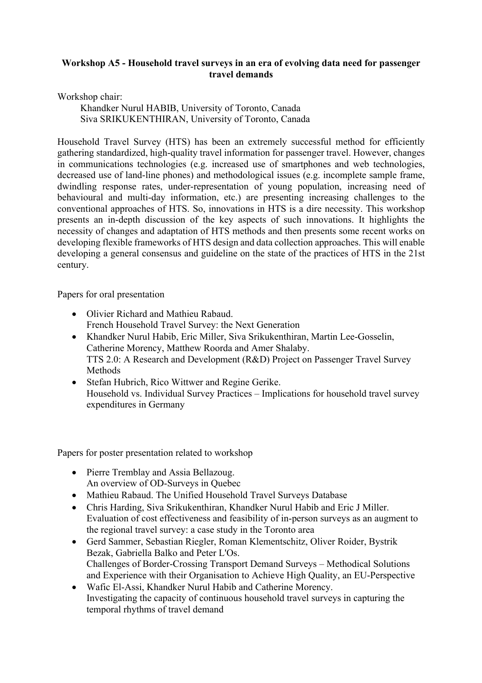## **Workshop A5 - Household travel surveys in an era of evolving data need for passenger travel demands**

Workshop chair:

Khandker Nurul HABIB, University of Toronto, Canada Siva SRIKUKENTHIRAN, University of Toronto, Canada

Household Travel Survey (HTS) has been an extremely successful method for efficiently gathering standardized, high-quality travel information for passenger travel. However, changes in communications technologies (e.g. increased use of smartphones and web technologies, decreased use of land-line phones) and methodological issues (e.g. incomplete sample frame, dwindling response rates, under-representation of young population, increasing need of behavioural and multi-day information, etc.) are presenting increasing challenges to the conventional approaches of HTS. So, innovations in HTS is a dire necessity. This workshop presents an in-depth discussion of the key aspects of such innovations. It highlights the necessity of changes and adaptation of HTS methods and then presents some recent works on developing flexible frameworks of HTS design and data collection approaches. This will enable developing a general consensus and guideline on the state of the practices of HTS in the 21st century.

Papers for oral presentation

- Olivier Richard and Mathieu Rabaud. French Household Travel Survey: the Next Generation
- Khandker Nurul Habib, Eric Miller, Siva Srikukenthiran, Martin Lee-Gosselin, Catherine Morency, Matthew Roorda and Amer Shalaby. TTS 2.0: A Research and Development (R&D) Project on Passenger Travel Survey Methods
- Stefan Hubrich, Rico Wittwer and Regine Gerike. Household vs. Individual Survey Practices – Implications for household travel survey expenditures in Germany

Papers for poster presentation related to workshop

- Pierre Tremblay and Assia Bellazoug. An overview of OD-Surveys in Quebec
- Mathieu Rabaud. The Unified Household Travel Surveys Database
- Chris Harding, Siva Srikukenthiran, Khandker Nurul Habib and Eric J Miller. Evaluation of cost effectiveness and feasibility of in-person surveys as an augment to the regional travel survey: a case study in the Toronto area
- Gerd Sammer, Sebastian Riegler, Roman Klementschitz, Oliver Roider, Bystrik Bezak, Gabriella Balko and Peter L'Os. Challenges of Border-Crossing Transport Demand Surveys – Methodical Solutions and Experience with their Organisation to Achieve High Quality, an EU-Perspective
- Wafic El-Assi, Khandker Nurul Habib and Catherine Morency. Investigating the capacity of continuous household travel surveys in capturing the temporal rhythms of travel demand